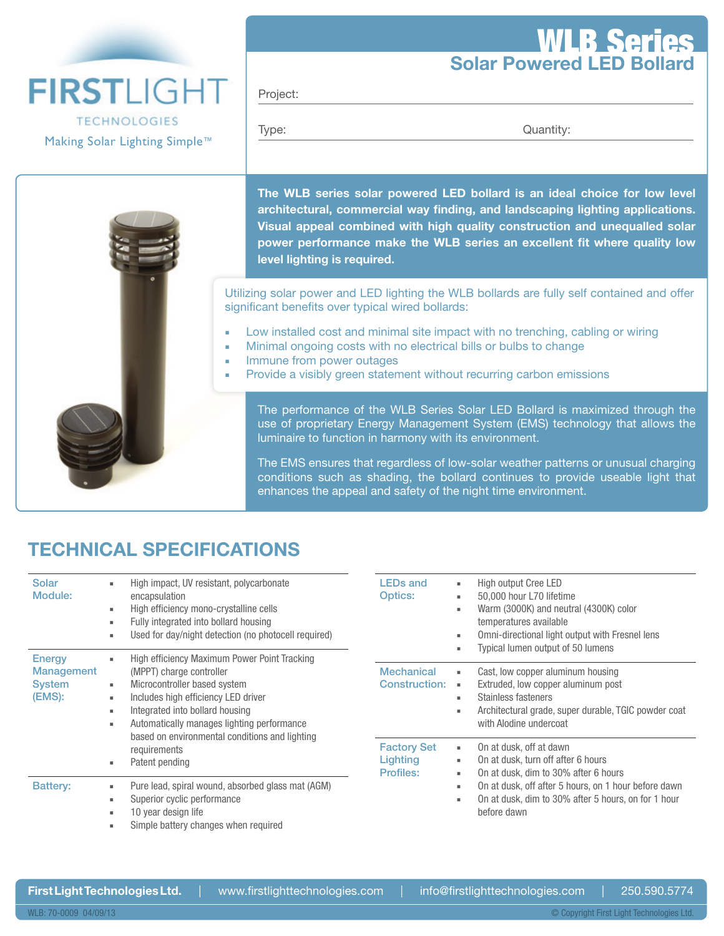## Solar Powered LED Bollard WLB Series

**FIRSTLIGHT TECHNOLOGIES** Making Solar Lighting Simple™

Project:

Type: Cuantity: Containing Type:

The WLB series solar powered LED bollard is an ideal choice for low level architectural, commercial way finding, and landscaping lighting applications. Visual appeal combined with high quality construction and unequalled solar power performance make the WLB series an excellent fit where quality low level lighting is required.

Utilizing solar power and LED lighting the WLB bollards are fully self contained and offer significant benefits over typical wired bollards:

- **Low installed cost and minimal site impact with no trenching, cabling or wiring**
- Minimal ongoing costs with no electrical bills or bulbs to change
- Immune from power outages
- Provide a visibly green statement without recurring carbon emissions

The performance of the WLB Series Solar LED Bollard is maximized through the use of proprietary Energy Management System (EMS) technology that allows the luminaire to function in harmony with its environment.

The EMS ensures that regardless of low-solar weather patterns or unusual charging conditions such as shading, the bollard continues to provide useable light that enhances the appeal and safety of the night time environment.

## TECHNICAL SPECIFICATIONS

| Solar<br>Module:                                              | High impact, UV resistant, polycarbonate<br>encapsulation<br>High efficiency mono-crystalline cells<br>۰.<br>Fully integrated into bollard housing<br>Used for day/night detection (no photocell required)                                                                                                                                         | <b>LEDs and</b><br><b>Optics:</b>                  | High output Cree LED<br>50,000 hour L70 lifetime<br>Warm (3000K) and neutral (4300K) color<br>temperatures available<br>Omni-directional light output with Fresnel lens<br>Typical lumen output of 50 lumens |  |
|---------------------------------------------------------------|----------------------------------------------------------------------------------------------------------------------------------------------------------------------------------------------------------------------------------------------------------------------------------------------------------------------------------------------------|----------------------------------------------------|--------------------------------------------------------------------------------------------------------------------------------------------------------------------------------------------------------------|--|
| <b>Energy</b><br><b>Management</b><br><b>System</b><br>(EMS): | High efficiency Maximum Power Point Tracking<br>۰,<br>(MPPT) charge controller<br>Microcontroller based system<br>۰.<br>Includes high efficiency LED driver<br>۰.<br>Integrated into bollard housing<br>٠.<br>Automatically manages lighting performance<br>۰,<br>based on environmental conditions and lighting<br>requirements<br>Patent pending | <b>Mechanical</b><br><b>Construction:</b>          | Cast, low copper aluminum housing<br>٠<br>Extruded, low copper aluminum post<br>×.<br>Stainless fasteners<br>٠.<br>Architectural grade, super durable, TGIC powder coat<br>with Alodine undercoat            |  |
|                                                               |                                                                                                                                                                                                                                                                                                                                                    | <b>Factory Set</b><br>Lighting<br><b>Profiles:</b> | On at dusk, off at dawn<br>×.<br>On at dusk, turn off after 6 hours<br>On at dusk, dim to 30% after 6 hours                                                                                                  |  |
| <b>Battery:</b>                                               | Pure lead, spiral wound, absorbed glass mat (AGM)<br>Superior cyclic performance<br>10 year design life<br>Simple battery changes when required                                                                                                                                                                                                    |                                                    | On at dusk, off after 5 hours, on 1 hour before dawn<br>On at dusk, dim to 30% after 5 hours, on for 1 hour<br>before dawn                                                                                   |  |

WLB: 70-0009 04/09/13

First Light Technologies Ltd. | www.firstlighttechnologies.com | info@firstlighttechnologies.com | 250.590.5774